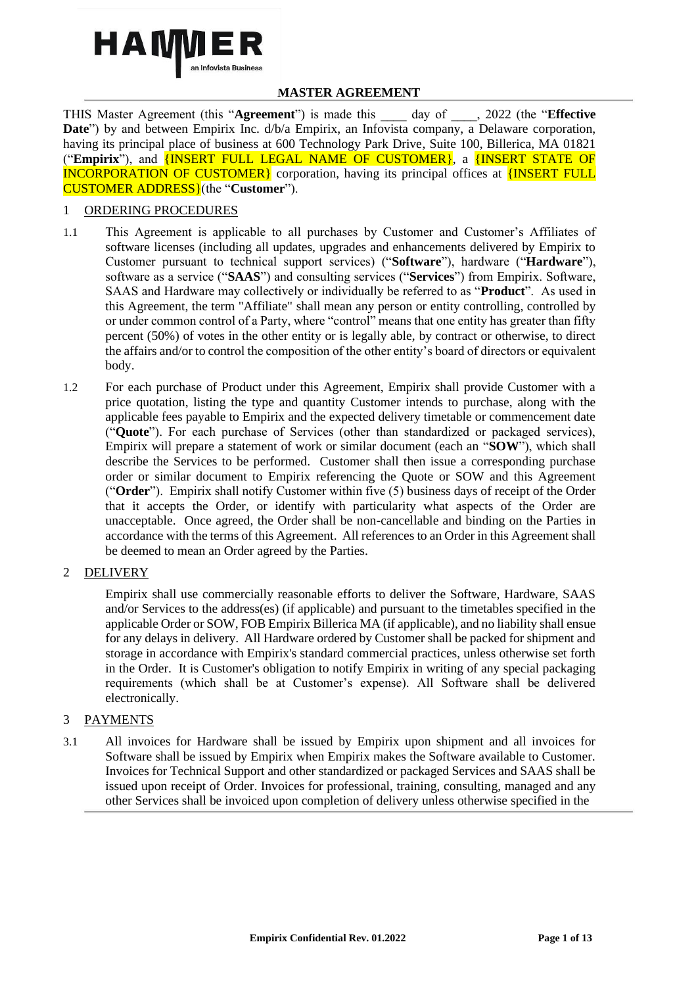

## **MASTER AGREEMENT**

THIS Master Agreement (this "**Agreement**") is made this \_\_\_\_ day of \_\_\_\_, 2022 (the "**Effective**  Date") by and between Empirix Inc.  $d/b/a$  Empirix, an Infovista company, a Delaware corporation, having its principal place of business at 600 Technology Park Drive, Suite 100, Billerica, MA 01821 ("**Empirix**"), and {INSERT FULL LEGAL NAME OF CUSTOMER}, a {INSERT STATE OF INCORPORATION OF CUSTOMER} corporation, having its principal offices at {INSERT FULL CUSTOMER ADDRESS}(the "**Customer**").

## 1 ORDERING PROCEDURES

- 1.1 This Agreement is applicable to all purchases by Customer and Customer's Affiliates of software licenses (including all updates, upgrades and enhancements delivered by Empirix to Customer pursuant to technical support services) ("**Software**"), hardware ("**Hardware**"), software as a service ("**SAAS**") and consulting services ("**Services**") from Empirix. Software, SAAS and Hardware may collectively or individually be referred to as "**Product**". As used in this Agreement, the term "Affiliate" shall mean any person or entity controlling, controlled by or under common control of a Party, where "control" means that one entity has greater than fifty percent (50%) of votes in the other entity or is legally able, by contract or otherwise, to direct the affairs and/or to control the composition of the other entity's board of directors or equivalent body.
- 1.2 For each purchase of Product under this Agreement, Empirix shall provide Customer with a price quotation, listing the type and quantity Customer intends to purchase, along with the applicable fees payable to Empirix and the expected delivery timetable or commencement date ("**Quote**"). For each purchase of Services (other than standardized or packaged services), Empirix will prepare a statement of work or similar document (each an "**SOW**"), which shall describe the Services to be performed. Customer shall then issue a corresponding purchase order or similar document to Empirix referencing the Quote or SOW and this Agreement ("**Order**"). Empirix shall notify Customer within five (5) business days of receipt of the Order that it accepts the Order, or identify with particularity what aspects of the Order are unacceptable. Once agreed, the Order shall be non-cancellable and binding on the Parties in accordance with the terms of this Agreement. All references to an Order in this Agreement shall be deemed to mean an Order agreed by the Parties.

#### 2 DELIVERY

Empirix shall use commercially reasonable efforts to deliver the Software, Hardware, SAAS and/or Services to the address(es) (if applicable) and pursuant to the timetables specified in the applicable Order or SOW, FOB Empirix Billerica MA (if applicable), and no liability shall ensue for any delays in delivery. All Hardware ordered by Customer shall be packed for shipment and storage in accordance with Empirix's standard commercial practices, unless otherwise set forth in the Order. It is Customer's obligation to notify Empirix in writing of any special packaging requirements (which shall be at Customer's expense). All Software shall be delivered electronically.

# 3 PAYMENTS

3.1 All invoices for Hardware shall be issued by Empirix upon shipment and all invoices for Software shall be issued by Empirix when Empirix makes the Software available to Customer. Invoices for Technical Support and other standardized or packaged Services and SAAS shall be issued upon receipt of Order. Invoices for professional, training, consulting, managed and any other Services shall be invoiced upon completion of delivery unless otherwise specified in the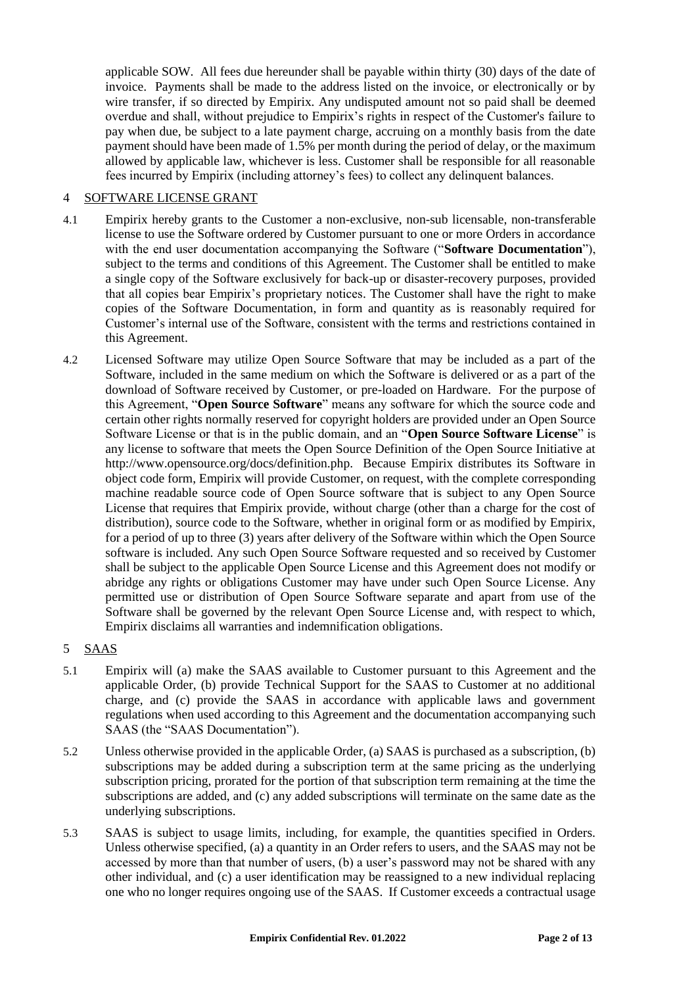applicable SOW. All fees due hereunder shall be payable within thirty (30) days of the date of invoice. Payments shall be made to the address listed on the invoice, or electronically or by wire transfer, if so directed by Empirix. Any undisputed amount not so paid shall be deemed overdue and shall, without prejudice to Empirix's rights in respect of the Customer's failure to pay when due, be subject to a late payment charge, accruing on a monthly basis from the date payment should have been made of 1.5% per month during the period of delay, or the maximum allowed by applicable law, whichever is less. Customer shall be responsible for all reasonable fees incurred by Empirix (including attorney's fees) to collect any delinquent balances.

#### <span id="page-1-0"></span>4 SOFTWARE LICENSE GRANT

- 4.1 Empirix hereby grants to the Customer a non-exclusive, non-sub licensable, non-transferable license to use the Software ordered by Customer pursuant to one or more Orders in accordance with the end user documentation accompanying the Software ("**Software Documentation**"), subject to the terms and conditions of this Agreement. The Customer shall be entitled to make a single copy of the Software exclusively for back-up or disaster-recovery purposes, provided that all copies bear Empirix's proprietary notices. The Customer shall have the right to make copies of the Software Documentation, in form and quantity as is reasonably required for Customer's internal use of the Software, consistent with the terms and restrictions contained in this Agreement.
- 4.2 Licensed Software may utilize Open Source Software that may be included as a part of the Software, included in the same medium on which the Software is delivered or as a part of the download of Software received by Customer, or pre-loaded on Hardware. For the purpose of this Agreement, "**Open Source Software**" means any software for which the source code and certain other rights normally reserved for copyright holders are provided under an Open Source Software License or that is in the public domain, and an "**Open Source Software License**" is any license to software that meets the Open Source Definition of the Open Source Initiative at http://www.opensource.org/docs/definition.php. Because Empirix distributes its Software in object code form, Empirix will provide Customer, on request, with the complete corresponding machine readable source code of Open Source software that is subject to any Open Source License that requires that Empirix provide, without charge (other than a charge for the cost of distribution), source code to the Software, whether in original form or as modified by Empirix, for a period of up to three (3) years after delivery of the Software within which the Open Source software is included. Any such Open Source Software requested and so received by Customer shall be subject to the applicable Open Source License and this Agreement does not modify or abridge any rights or obligations Customer may have under such Open Source License. Any permitted use or distribution of Open Source Software separate and apart from use of the Software shall be governed by the relevant Open Source License and, with respect to which, Empirix disclaims all warranties and indemnification obligations.

#### 5 SAAS

- 5.1 Empirix will (a) make the SAAS available to Customer pursuant to this Agreement and the applicable Order, (b) provide Technical Support for the SAAS to Customer at no additional charge, and (c) provide the SAAS in accordance with applicable laws and government regulations when used according to this Agreement and the documentation accompanying such SAAS (the "SAAS Documentation").
- 5.2 Unless otherwise provided in the applicable Order, (a) SAAS is purchased as a subscription, (b) subscriptions may be added during a subscription term at the same pricing as the underlying subscription pricing, prorated for the portion of that subscription term remaining at the time the subscriptions are added, and (c) any added subscriptions will terminate on the same date as the underlying subscriptions.
- 5.3 SAAS is subject to usage limits, including, for example, the quantities specified in Orders. Unless otherwise specified, (a) a quantity in an Order refers to users, and the SAAS may not be accessed by more than that number of users, (b) a user's password may not be shared with any other individual, and (c) a user identification may be reassigned to a new individual replacing one who no longer requires ongoing use of the SAAS. If Customer exceeds a contractual usage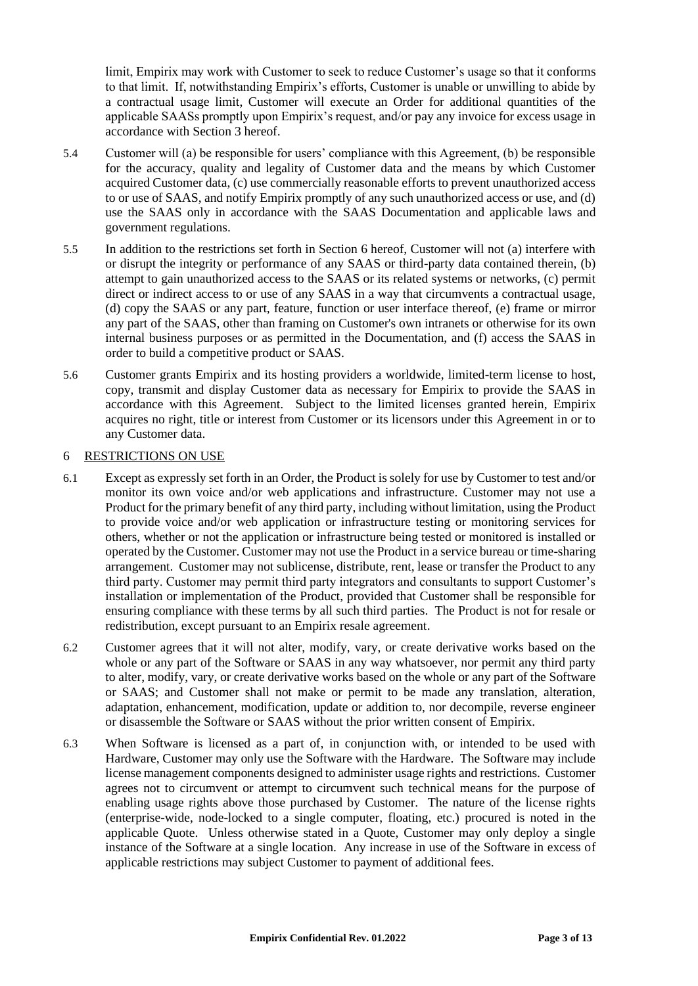limit, Empirix may work with Customer to seek to reduce Customer's usage so that it conforms to that limit. If, notwithstanding Empirix's efforts, Customer is unable or unwilling to abide by a contractual usage limit, Customer will execute an Order for additional quantities of the applicable SAASs promptly upon Empirix's request, and/or pay any invoice for excess usage in accordance with Section 3 hereof.

- 5.4 Customer will (a) be responsible for users' compliance with this Agreement, (b) be responsible for the accuracy, quality and legality of Customer data and the means by which Customer acquired Customer data, (c) use commercially reasonable efforts to prevent unauthorized access to or use of SAAS, and notify Empirix promptly of any such unauthorized access or use, and (d) use the SAAS only in accordance with the SAAS Documentation and applicable laws and government regulations.
- 5.5 In addition to the restrictions set forth in Section 6 hereof, Customer will not (a) interfere with or disrupt the integrity or performance of any SAAS or third-party data contained therein, (b) attempt to gain unauthorized access to the SAAS or its related systems or networks, (c) permit direct or indirect access to or use of any SAAS in a way that circumvents a contractual usage, (d) copy the SAAS or any part, feature, function or user interface thereof, (e) frame or mirror any part of the SAAS, other than framing on Customer's own intranets or otherwise for its own internal business purposes or as permitted in the Documentation, and (f) access the SAAS in order to build a competitive product or SAAS.
- 5.6 Customer grants Empirix and its hosting providers a worldwide, limited-term license to host, copy, transmit and display Customer data as necessary for Empirix to provide the SAAS in accordance with this Agreement. Subject to the limited licenses granted herein, Empirix acquires no right, title or interest from Customer or its licensors under this Agreement in or to any Customer data.

## 6 RESTRICTIONS ON USE

- 6.1 Except as expressly set forth in an Order, the Product is solely for use by Customer to test and/or monitor its own voice and/or web applications and infrastructure. Customer may not use a Product for the primary benefit of any third party, including without limitation, using the Product to provide voice and/or web application or infrastructure testing or monitoring services for others, whether or not the application or infrastructure being tested or monitored is installed or operated by the Customer. Customer may not use the Product in a service bureau or time-sharing arrangement. Customer may not sublicense, distribute, rent, lease or transfer the Product to any third party. Customer may permit third party integrators and consultants to support Customer's installation or implementation of the Product, provided that Customer shall be responsible for ensuring compliance with these terms by all such third parties. The Product is not for resale or redistribution, except pursuant to an Empirix resale agreement.
- 6.2 Customer agrees that it will not alter, modify, vary, or create derivative works based on the whole or any part of the Software or SAAS in any way whatsoever, nor permit any third party to alter, modify, vary, or create derivative works based on the whole or any part of the Software or SAAS; and Customer shall not make or permit to be made any translation, alteration, adaptation, enhancement, modification, update or addition to, nor decompile, reverse engineer or disassemble the Software or SAAS without the prior written consent of Empirix.
- 6.3 When Software is licensed as a part of, in conjunction with, or intended to be used with Hardware, Customer may only use the Software with the Hardware. The Software may include license management components designed to administer usage rights and restrictions. Customer agrees not to circumvent or attempt to circumvent such technical means for the purpose of enabling usage rights above those purchased by Customer. The nature of the license rights (enterprise-wide, node-locked to a single computer, floating, etc.) procured is noted in the applicable Quote. Unless otherwise stated in a Quote, Customer may only deploy a single instance of the Software at a single location. Any increase in use of the Software in excess of applicable restrictions may subject Customer to payment of additional fees.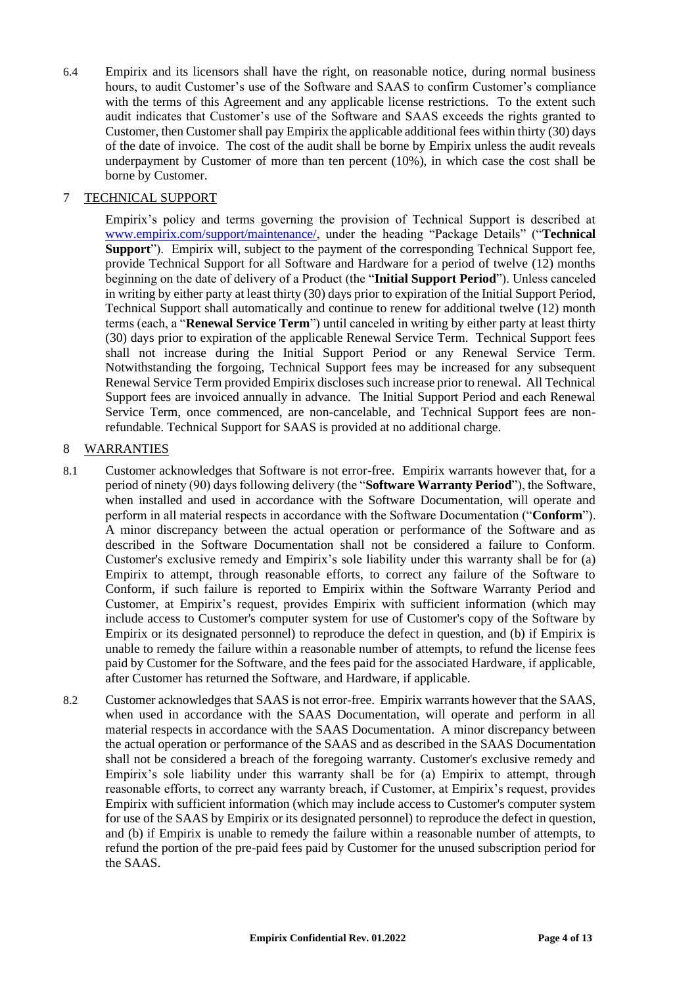6.4 Empirix and its licensors shall have the right, on reasonable notice, during normal business hours, to audit Customer's use of the Software and SAAS to confirm Customer's compliance with the terms of this Agreement and any applicable license restrictions. To the extent such audit indicates that Customer's use of the Software and SAAS exceeds the rights granted to Customer, then Customer shall pay Empirix the applicable additional fees within thirty (30) days of the date of invoice. The cost of the audit shall be borne by Empirix unless the audit reveals underpayment by Customer of more than ten percent (10%), in which case the cost shall be borne by Customer.

## 7 TECHNICAL SUPPORT

Empirix's policy and terms governing the provision of Technical Support is described at [www.empirix.com/support/maintenance/,](http://www.empirix.com/support/maintenance/) under the heading "Package Details" ("**Technical Support**"). Empirix will, subject to the payment of the corresponding Technical Support fee, provide Technical Support for all Software and Hardware for a period of twelve (12) months beginning on the date of delivery of a Product (the "**Initial Support Period**"). Unless canceled in writing by either party at least thirty (30) days prior to expiration of the Initial Support Period, Technical Support shall automatically and continue to renew for additional twelve (12) month terms (each, a "**Renewal Service Term**") until canceled in writing by either party at least thirty (30) days prior to expiration of the applicable Renewal Service Term. Technical Support fees shall not increase during the Initial Support Period or any Renewal Service Term. Notwithstanding the forgoing, Technical Support fees may be increased for any subsequent Renewal Service Term provided Empirix discloses such increase prior to renewal. All Technical Support fees are invoiced annually in advance. The Initial Support Period and each Renewal Service Term, once commenced, are non-cancelable, and Technical Support fees are nonrefundable. Technical Support for SAAS is provided at no additional charge.

## 8 WARRANTIES

- <span id="page-3-0"></span>8.1 Customer acknowledges that Software is not error-free. Empirix warrants however that, for a period of ninety (90) days following delivery (the "**Software Warranty Period**"), the Software, when installed and used in accordance with the Software Documentation, will operate and perform in all material respects in accordance with the Software Documentation ("**Conform**"). A minor discrepancy between the actual operation or performance of the Software and as described in the Software Documentation shall not be considered a failure to Conform. Customer's exclusive remedy and Empirix's sole liability under this warranty shall be for (a) Empirix to attempt, through reasonable efforts, to correct any failure of the Software to Conform, if such failure is reported to Empirix within the Software Warranty Period and Customer, at Empirix's request, provides Empirix with sufficient information (which may include access to Customer's computer system for use of Customer's copy of the Software by Empirix or its designated personnel) to reproduce the defect in question, and (b) if Empirix is unable to remedy the failure within a reasonable number of attempts, to refund the license fees paid by Customer for the Software, and the fees paid for the associated Hardware, if applicable, after Customer has returned the Software, and Hardware, if applicable.
- 8.2 Customer acknowledges that SAAS is not error-free. Empirix warrants however that the SAAS, when used in accordance with the SAAS Documentation, will operate and perform in all material respects in accordance with the SAAS Documentation. A minor discrepancy between the actual operation or performance of the SAAS and as described in the SAAS Documentation shall not be considered a breach of the foregoing warranty. Customer's exclusive remedy and Empirix's sole liability under this warranty shall be for (a) Empirix to attempt, through reasonable efforts, to correct any warranty breach, if Customer, at Empirix's request, provides Empirix with sufficient information (which may include access to Customer's computer system for use of the SAAS by Empirix or its designated personnel) to reproduce the defect in question, and (b) if Empirix is unable to remedy the failure within a reasonable number of attempts, to refund the portion of the pre-paid fees paid by Customer for the unused subscription period for the SAAS.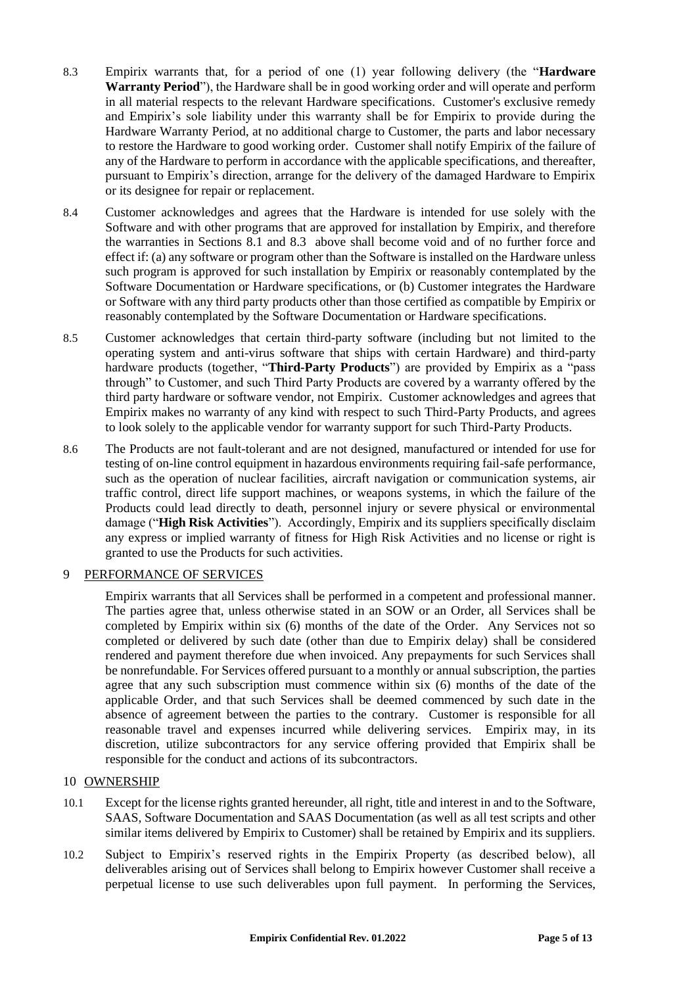- 8.3 Empirix warrants that, for a period of one (1) year following delivery (the "**Hardware Warranty Period**"), the Hardware shall be in good working order and will operate and perform in all material respects to the relevant Hardware specifications. Customer's exclusive remedy and Empirix's sole liability under this warranty shall be for Empirix to provide during the Hardware Warranty Period, at no additional charge to Customer, the parts and labor necessary to restore the Hardware to good working order. Customer shall notify Empirix of the failure of any of the Hardware to perform in accordance with the applicable specifications, and thereafter, pursuant to Empirix's direction, arrange for the delivery of the damaged Hardware to Empirix or its designee for repair or replacement.
- 8.4 Customer acknowledges and agrees that the Hardware is intended for use solely with the Software and with other programs that are approved for installation by Empirix, and therefore the warranties in Sections [8.1](#page-3-0) and 8.3 above shall become void and of no further force and effect if: (a) any software or program other than the Software is installed on the Hardware unless such program is approved for such installation by Empirix or reasonably contemplated by the Software Documentation or Hardware specifications, or (b) Customer integrates the Hardware or Software with any third party products other than those certified as compatible by Empirix or reasonably contemplated by the Software Documentation or Hardware specifications.
- 8.5 Customer acknowledges that certain third-party software (including but not limited to the operating system and anti-virus software that ships with certain Hardware) and third-party hardware products (together, "**Third-Party Products**") are provided by Empirix as a "pass through" to Customer, and such Third Party Products are covered by a warranty offered by the third party hardware or software vendor, not Empirix. Customer acknowledges and agrees that Empirix makes no warranty of any kind with respect to such Third-Party Products, and agrees to look solely to the applicable vendor for warranty support for such Third-Party Products.
- 8.6 The Products are not fault-tolerant and are not designed, manufactured or intended for use for testing of on-line control equipment in hazardous environments requiring fail-safe performance, such as the operation of nuclear facilities, aircraft navigation or communication systems, air traffic control, direct life support machines, or weapons systems, in which the failure of the Products could lead directly to death, personnel injury or severe physical or environmental damage ("**High Risk Activities**"). Accordingly, Empirix and its suppliers specifically disclaim any express or implied warranty of fitness for High Risk Activities and no license or right is granted to use the Products for such activities.

# 9 PERFORMANCE OF SERVICES

Empirix warrants that all Services shall be performed in a competent and professional manner. The parties agree that, unless otherwise stated in an SOW or an Order, all Services shall be completed by Empirix within six (6) months of the date of the Order. Any Services not so completed or delivered by such date (other than due to Empirix delay) shall be considered rendered and payment therefore due when invoiced. Any prepayments for such Services shall be nonrefundable. For Services offered pursuant to a monthly or annual subscription, the parties agree that any such subscription must commence within six (6) months of the date of the applicable Order, and that such Services shall be deemed commenced by such date in the absence of agreement between the parties to the contrary. Customer is responsible for all reasonable travel and expenses incurred while delivering services. Empirix may, in its discretion, utilize subcontractors for any service offering provided that Empirix shall be responsible for the conduct and actions of its subcontractors.

#### 10 OWNERSHIP

- 10.1 Except for the license rights granted hereunder, all right, title and interest in and to the Software, SAAS, Software Documentation and SAAS Documentation (as well as all test scripts and other similar items delivered by Empirix to Customer) shall be retained by Empirix and its suppliers.
- 10.2 Subject to Empirix's reserved rights in the Empirix Property (as described below), all deliverables arising out of Services shall belong to Empirix however Customer shall receive a perpetual license to use such deliverables upon full payment. In performing the Services,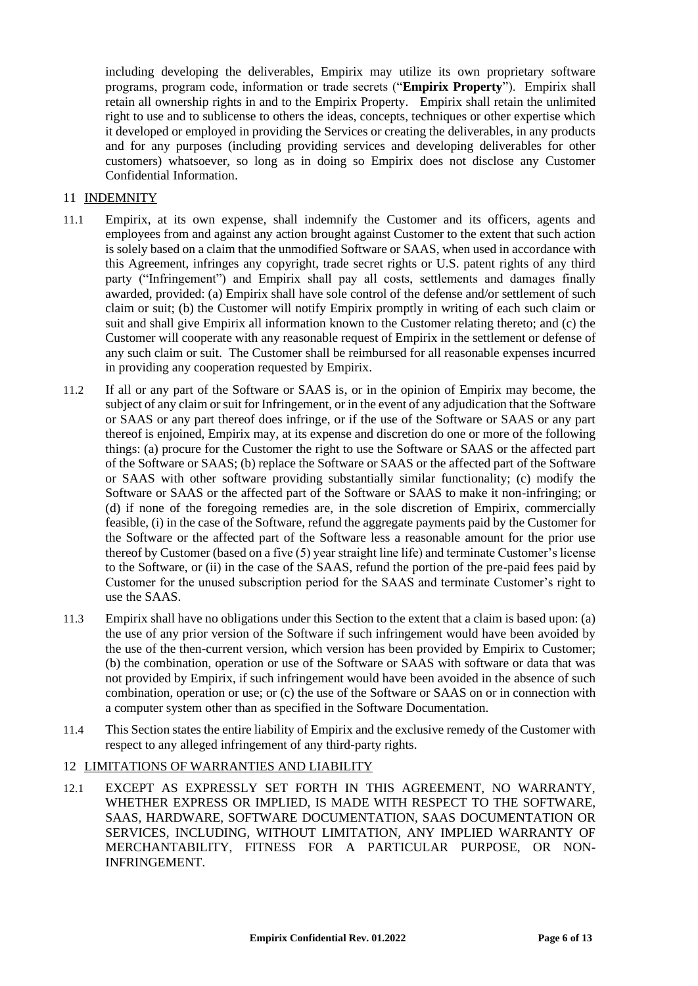including developing the deliverables, Empirix may utilize its own proprietary software programs, program code, information or trade secrets ("**Empirix Property**"). Empirix shall retain all ownership rights in and to the Empirix Property. Empirix shall retain the unlimited right to use and to sublicense to others the ideas, concepts, techniques or other expertise which it developed or employed in providing the Services or creating the deliverables, in any products and for any purposes (including providing services and developing deliverables for other customers) whatsoever, so long as in doing so Empirix does not disclose any Customer Confidential Information.

#### 11 INDEMNITY

- 11.1 Empirix, at its own expense, shall indemnify the Customer and its officers, agents and employees from and against any action brought against Customer to the extent that such action is solely based on a claim that the unmodified Software or SAAS, when used in accordance with this Agreement, infringes any copyright, trade secret rights or U.S. patent rights of any third party ("Infringement") and Empirix shall pay all costs, settlements and damages finally awarded, provided: (a) Empirix shall have sole control of the defense and/or settlement of such claim or suit; (b) the Customer will notify Empirix promptly in writing of each such claim or suit and shall give Empirix all information known to the Customer relating thereto; and (c) the Customer will cooperate with any reasonable request of Empirix in the settlement or defense of any such claim or suit. The Customer shall be reimbursed for all reasonable expenses incurred in providing any cooperation requested by Empirix.
- 11.2 If all or any part of the Software or SAAS is, or in the opinion of Empirix may become, the subject of any claim or suit for Infringement, or in the event of any adjudication that the Software or SAAS or any part thereof does infringe, or if the use of the Software or SAAS or any part thereof is enjoined, Empirix may, at its expense and discretion do one or more of the following things: (a) procure for the Customer the right to use the Software or SAAS or the affected part of the Software or SAAS; (b) replace the Software or SAAS or the affected part of the Software or SAAS with other software providing substantially similar functionality; (c) modify the Software or SAAS or the affected part of the Software or SAAS to make it non-infringing; or (d) if none of the foregoing remedies are, in the sole discretion of Empirix, commercially feasible, (i) in the case of the Software, refund the aggregate payments paid by the Customer for the Software or the affected part of the Software less a reasonable amount for the prior use thereof by Customer (based on a five (5) year straight line life) and terminate Customer's license to the Software, or (ii) in the case of the SAAS, refund the portion of the pre-paid fees paid by Customer for the unused subscription period for the SAAS and terminate Customer's right to use the SAAS.
- 11.3 Empirix shall have no obligations under this Section to the extent that a claim is based upon: (a) the use of any prior version of the Software if such infringement would have been avoided by the use of the then-current version, which version has been provided by Empirix to Customer; (b) the combination, operation or use of the Software or SAAS with software or data that was not provided by Empirix, if such infringement would have been avoided in the absence of such combination, operation or use; or (c) the use of the Software or SAAS on or in connection with a computer system other than as specified in the Software Documentation.
- 11.4 This Section states the entire liability of Empirix and the exclusive remedy of the Customer with respect to any alleged infringement of any third-party rights.

#### <span id="page-5-0"></span>12 LIMITATIONS OF WARRANTIES AND LIABILITY

12.1 EXCEPT AS EXPRESSLY SET FORTH IN THIS AGREEMENT, NO WARRANTY, WHETHER EXPRESS OR IMPLIED, IS MADE WITH RESPECT TO THE SOFTWARE, SAAS, HARDWARE, SOFTWARE DOCUMENTATION, SAAS DOCUMENTATION OR SERVICES, INCLUDING, WITHOUT LIMITATION, ANY IMPLIED WARRANTY OF MERCHANTABILITY, FITNESS FOR A PARTICULAR PURPOSE, OR NON-INFRINGEMENT.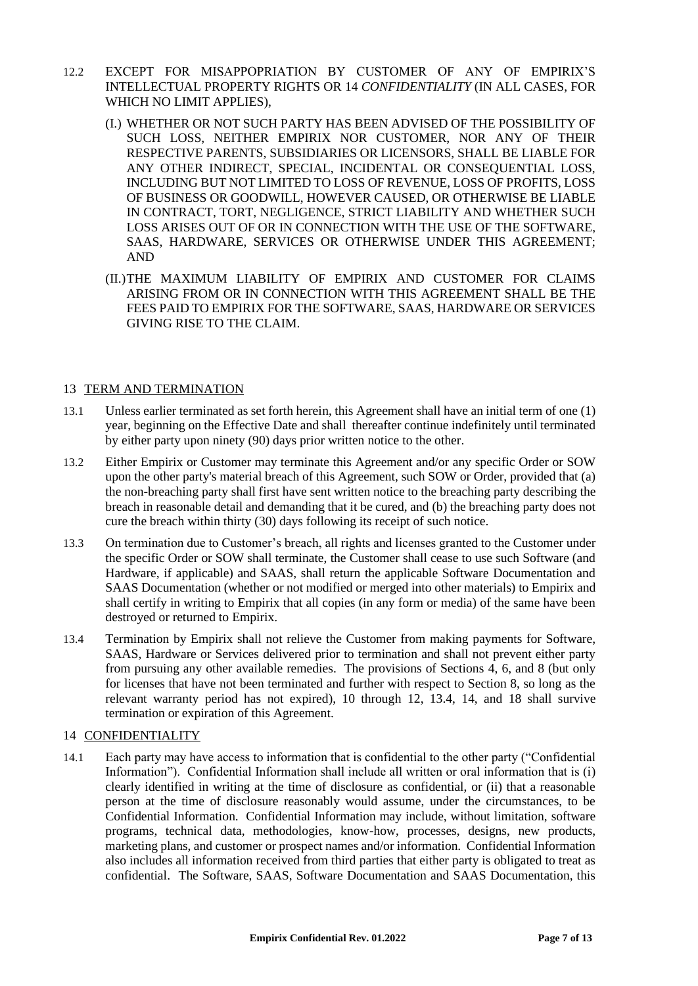- 12.2 EXCEPT FOR MISAPPOPRIATION BY CUSTOMER OF ANY OF EMPIRIX'S INTELLECTUAL PROPERTY RIGHTS OR [14](#page-6-0) *CONFIDENTIALITY* (IN ALL CASES, FOR WHICH NO LIMIT APPLIES),
	- (I.) WHETHER OR NOT SUCH PARTY HAS BEEN ADVISED OF THE POSSIBILITY OF SUCH LOSS, NEITHER EMPIRIX NOR CUSTOMER, NOR ANY OF THEIR RESPECTIVE PARENTS, SUBSIDIARIES OR LICENSORS, SHALL BE LIABLE FOR ANY OTHER INDIRECT, SPECIAL, INCIDENTAL OR CONSEQUENTIAL LOSS, INCLUDING BUT NOT LIMITED TO LOSS OF REVENUE, LOSS OF PROFITS, LOSS OF BUSINESS OR GOODWILL, HOWEVER CAUSED, OR OTHERWISE BE LIABLE IN CONTRACT, TORT, NEGLIGENCE, STRICT LIABILITY AND WHETHER SUCH LOSS ARISES OUT OF OR IN CONNECTION WITH THE USE OF THE SOFTWARE, SAAS, HARDWARE, SERVICES OR OTHERWISE UNDER THIS AGREEMENT; AND
	- (II.)THE MAXIMUM LIABILITY OF EMPIRIX AND CUSTOMER FOR CLAIMS ARISING FROM OR IN CONNECTION WITH THIS AGREEMENT SHALL BE THE FEES PAID TO EMPIRIX FOR THE SOFTWARE, SAAS, HARDWARE OR SERVICES GIVING RISE TO THE CLAIM.

## 13 TERM AND TERMINATION

- 13.1 Unless earlier terminated as set forth herein, this Agreement shall have an initial term of one (1) year, beginning on the Effective Date and shall thereafter continue indefinitely until terminated by either party upon ninety (90) days prior written notice to the other.
- 13.2 Either Empirix or Customer may terminate this Agreement and/or any specific Order or SOW upon the other party's material breach of this Agreement, such SOW or Order, provided that (a) the non-breaching party shall first have sent written notice to the breaching party describing the breach in reasonable detail and demanding that it be cured, and (b) the breaching party does not cure the breach within thirty (30) days following its receipt of such notice.
- 13.3 On termination due to Customer's breach, all rights and licenses granted to the Customer under the specific Order or SOW shall terminate, the Customer shall cease to use such Software (and Hardware, if applicable) and SAAS, shall return the applicable Software Documentation and SAAS Documentation (whether or not modified or merged into other materials) to Empirix and shall certify in writing to Empirix that all copies (in any form or media) of the same have been destroyed or returned to Empirix.
- <span id="page-6-1"></span>13.4 Termination by Empirix shall not relieve the Customer from making payments for Software, SAAS, Hardware or Services delivered prior to termination and shall not prevent either party from pursuing any other available remedies. The provisions of Sections [4,](#page-1-0) 6, and 8 (but only for licenses that have not been terminated and further with respect to Section 8, so long as the relevant warranty period has not expired), 10 through [12,](#page-5-0) [13.4,](#page-6-1) [14,](#page-6-0) and [18](#page-8-0) shall survive termination or expiration of this Agreement.

#### <span id="page-6-0"></span>14 CONFIDENTIALITY

14.1 Each party may have access to information that is confidential to the other party ("Confidential Information"). Confidential Information shall include all written or oral information that is (i) clearly identified in writing at the time of disclosure as confidential, or (ii) that a reasonable person at the time of disclosure reasonably would assume, under the circumstances, to be Confidential Information. Confidential Information may include, without limitation, software programs, technical data, methodologies, know-how, processes, designs, new products, marketing plans, and customer or prospect names and/or information. Confidential Information also includes all information received from third parties that either party is obligated to treat as confidential. The Software, SAAS, Software Documentation and SAAS Documentation, this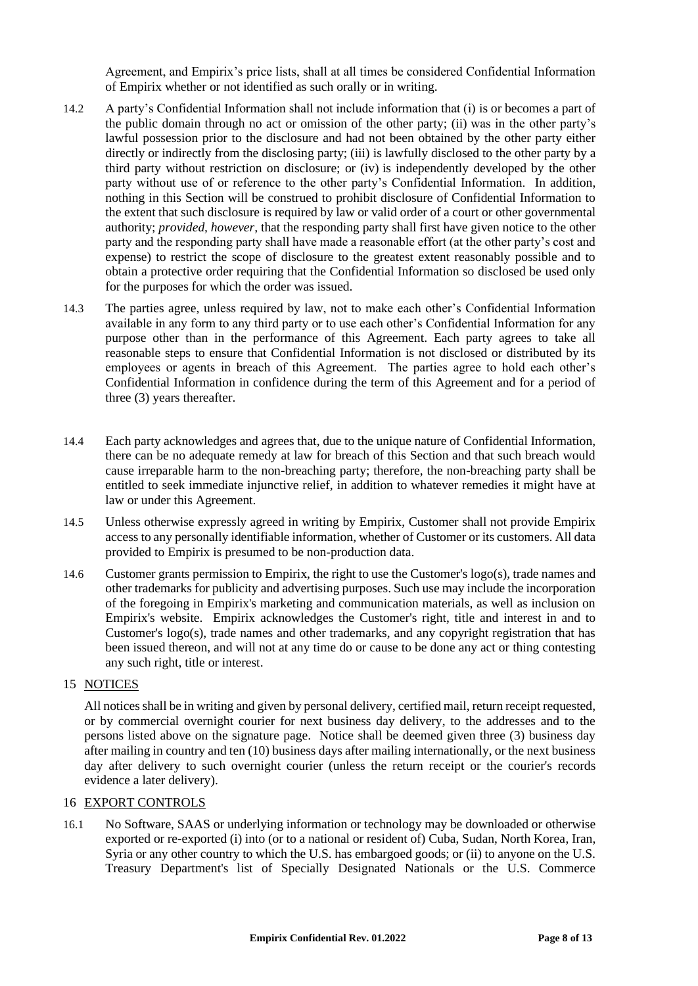Agreement, and Empirix's price lists, shall at all times be considered Confidential Information of Empirix whether or not identified as such orally or in writing.

- 14.2 A party's Confidential Information shall not include information that (i) is or becomes a part of the public domain through no act or omission of the other party; (ii) was in the other party's lawful possession prior to the disclosure and had not been obtained by the other party either directly or indirectly from the disclosing party; (iii) is lawfully disclosed to the other party by a third party without restriction on disclosure; or (iv) is independently developed by the other party without use of or reference to the other party's Confidential Information. In addition, nothing in this Section will be construed to prohibit disclosure of Confidential Information to the extent that such disclosure is required by law or valid order of a court or other governmental authority; *provided, however,* that the responding party shall first have given notice to the other party and the responding party shall have made a reasonable effort (at the other party's cost and expense) to restrict the scope of disclosure to the greatest extent reasonably possible and to obtain a protective order requiring that the Confidential Information so disclosed be used only for the purposes for which the order was issued.
- 14.3 The parties agree, unless required by law, not to make each other's Confidential Information available in any form to any third party or to use each other's Confidential Information for any purpose other than in the performance of this Agreement. Each party agrees to take all reasonable steps to ensure that Confidential Information is not disclosed or distributed by its employees or agents in breach of this Agreement. The parties agree to hold each other's Confidential Information in confidence during the term of this Agreement and for a period of three (3) years thereafter.
- 14.4 Each party acknowledges and agrees that, due to the unique nature of Confidential Information, there can be no adequate remedy at law for breach of this Section and that such breach would cause irreparable harm to the non-breaching party; therefore, the non-breaching party shall be entitled to seek immediate injunctive relief, in addition to whatever remedies it might have at law or under this Agreement.
- 14.5 Unless otherwise expressly agreed in writing by Empirix, Customer shall not provide Empirix access to any personally identifiable information, whether of Customer or its customers. All data provided to Empirix is presumed to be non-production data.
- 14.6 Customer grants permission to Empirix, the right to use the Customer's logo(s), trade names and other trademarks for publicity and advertising purposes. Such use may include the incorporation of the foregoing in Empirix's marketing and communication materials, as well as inclusion on Empirix's website. Empirix acknowledges the Customer's right, title and interest in and to Customer's logo(s), trade names and other trademarks, and any copyright registration that has been issued thereon, and will not at any time do or cause to be done any act or thing contesting any such right, title or interest.

#### 15 NOTICES

All notices shall be in writing and given by personal delivery, certified mail, return receipt requested, or by commercial overnight courier for next business day delivery, to the addresses and to the persons listed above on the signature page. Notice shall be deemed given three (3) business day after mailing in country and ten (10) business days after mailing internationally, or the next business day after delivery to such overnight courier (unless the return receipt or the courier's records evidence a later delivery).

#### 16 EXPORT CONTROLS

16.1 No Software, SAAS or underlying information or technology may be downloaded or otherwise exported or re-exported (i) into (or to a national or resident of) Cuba, Sudan, North Korea, Iran, Syria or any other country to which the U.S. has embargoed goods; or (ii) to anyone on the U.S. Treasury Department's list of Specially Designated Nationals or the U.S. Commerce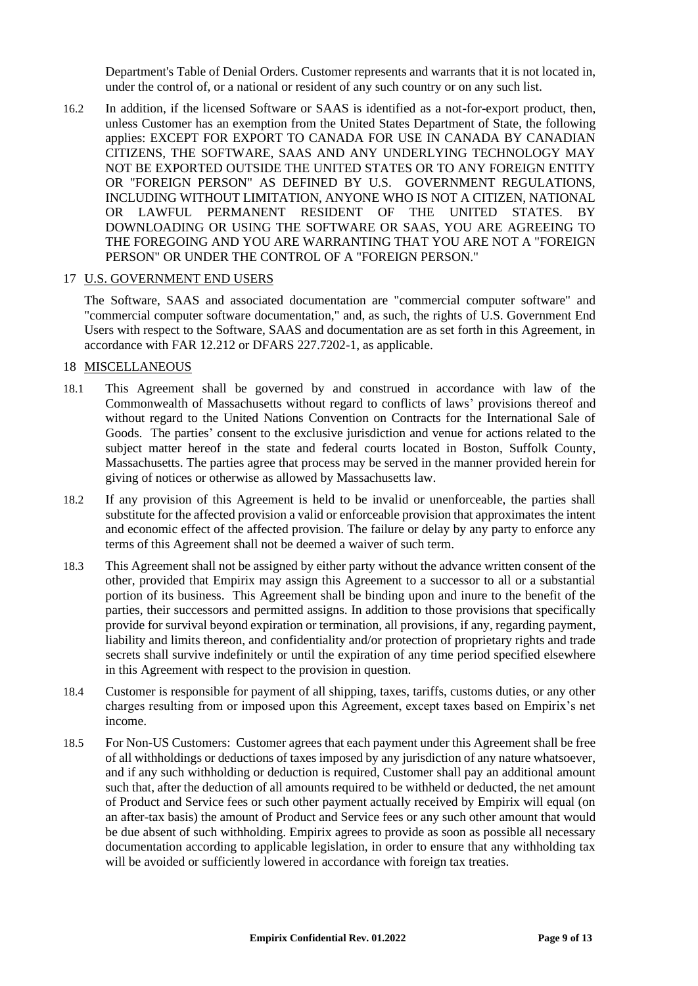Department's Table of Denial Orders. Customer represents and warrants that it is not located in, under the control of, or a national or resident of any such country or on any such list.

16.2 In addition, if the licensed Software or SAAS is identified as a not-for-export product, then, unless Customer has an exemption from the United States Department of State, the following applies: EXCEPT FOR EXPORT TO CANADA FOR USE IN CANADA BY CANADIAN CITIZENS, THE SOFTWARE, SAAS AND ANY UNDERLYING TECHNOLOGY MAY NOT BE EXPORTED OUTSIDE THE UNITED STATES OR TO ANY FOREIGN ENTITY OR "FOREIGN PERSON" AS DEFINED BY U.S. GOVERNMENT REGULATIONS, INCLUDING WITHOUT LIMITATION, ANYONE WHO IS NOT A CITIZEN, NATIONAL OR LAWFUL PERMANENT RESIDENT OF THE UNITED STATES. BY DOWNLOADING OR USING THE SOFTWARE OR SAAS, YOU ARE AGREEING TO THE FOREGOING AND YOU ARE WARRANTING THAT YOU ARE NOT A "FOREIGN PERSON" OR UNDER THE CONTROL OF A "FOREIGN PERSON."

#### 17 U.S. GOVERNMENT END USERS

The Software, SAAS and associated documentation are "commercial computer software" and "commercial computer software documentation," and, as such, the rights of U.S. Government End Users with respect to the Software, SAAS and documentation are as set forth in this Agreement, in accordance with FAR 12.212 or DFARS 227.7202-1, as applicable.

#### <span id="page-8-0"></span>18 MISCELLANEOUS

- 18.1 This Agreement shall be governed by and construed in accordance with law of the Commonwealth of Massachusetts without regard to conflicts of laws' provisions thereof and without regard to the United Nations Convention on Contracts for the International Sale of Goods. The parties' consent to the exclusive jurisdiction and venue for actions related to the subject matter hereof in the state and federal courts located in Boston, Suffolk County, Massachusetts. The parties agree that process may be served in the manner provided herein for giving of notices or otherwise as allowed by Massachusetts law.
- 18.2 If any provision of this Agreement is held to be invalid or unenforceable, the parties shall substitute for the affected provision a valid or enforceable provision that approximates the intent and economic effect of the affected provision. The failure or delay by any party to enforce any terms of this Agreement shall not be deemed a waiver of such term.
- 18.3 This Agreement shall not be assigned by either party without the advance written consent of the other, provided that Empirix may assign this Agreement to a successor to all or a substantial portion of its business. This Agreement shall be binding upon and inure to the benefit of the parties, their successors and permitted assigns. In addition to those provisions that specifically provide for survival beyond expiration or termination, all provisions, if any, regarding payment, liability and limits thereon, and confidentiality and/or protection of proprietary rights and trade secrets shall survive indefinitely or until the expiration of any time period specified elsewhere in this Agreement with respect to the provision in question.
- 18.4 Customer is responsible for payment of all shipping, taxes, tariffs, customs duties, or any other charges resulting from or imposed upon this Agreement, except taxes based on Empirix's net income.
- 18.5 For Non-US Customers: Customer agrees that each payment under this Agreement shall be free of all withholdings or deductions of taxes imposed by any jurisdiction of any nature whatsoever, and if any such withholding or deduction is required, Customer shall pay an additional amount such that, after the deduction of all amounts required to be withheld or deducted, the net amount of Product and Service fees or such other payment actually received by Empirix will equal (on an after-tax basis) the amount of Product and Service fees or any such other amount that would be due absent of such withholding. Empirix agrees to provide as soon as possible all necessary documentation according to applicable legislation, in order to ensure that any withholding tax will be avoided or sufficiently lowered in accordance with foreign tax treaties.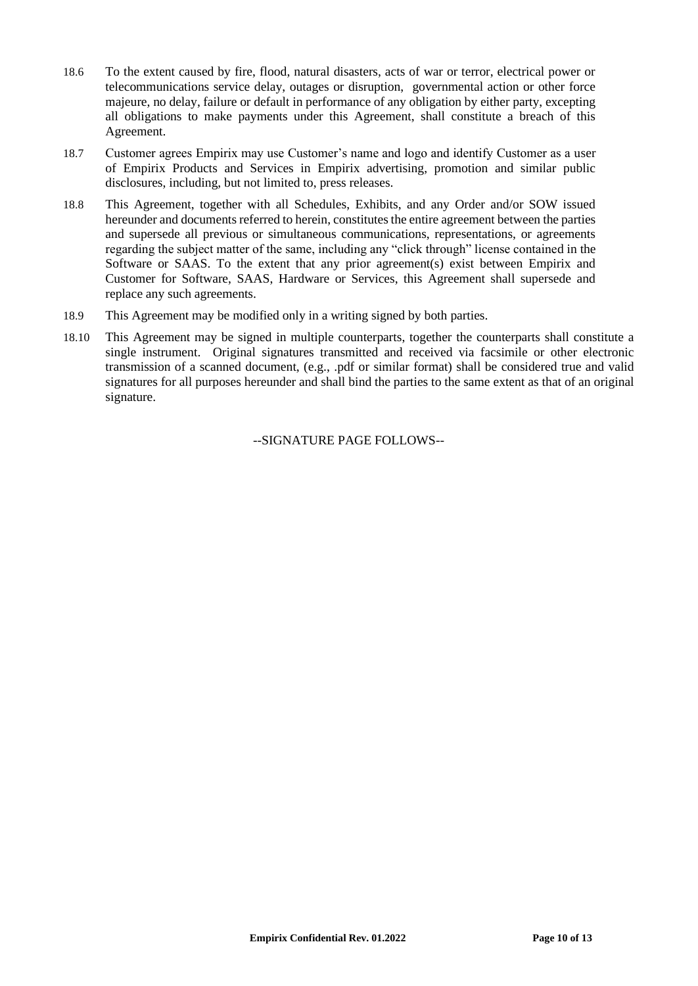- 18.6 To the extent caused by fire, flood, natural disasters, acts of war or terror, electrical power or telecommunications service delay, outages or disruption, governmental action or other force majeure, no delay, failure or default in performance of any obligation by either party, excepting all obligations to make payments under this Agreement, shall constitute a breach of this Agreement.
- 18.7 Customer agrees Empirix may use Customer's name and logo and identify Customer as a user of Empirix Products and Services in Empirix advertising, promotion and similar public disclosures, including, but not limited to, press releases.
- 18.8 This Agreement, together with all Schedules, Exhibits, and any Order and/or SOW issued hereunder and documents referred to herein, constitutes the entire agreement between the parties and supersede all previous or simultaneous communications, representations, or agreements regarding the subject matter of the same, including any "click through" license contained in the Software or SAAS. To the extent that any prior agreement(s) exist between Empirix and Customer for Software, SAAS, Hardware or Services, this Agreement shall supersede and replace any such agreements.
- 18.9 This Agreement may be modified only in a writing signed by both parties.
- 18.10 This Agreement may be signed in multiple counterparts, together the counterparts shall constitute a single instrument. Original signatures transmitted and received via facsimile or other electronic transmission of a scanned document, (e.g., .pdf or similar format) shall be considered true and valid signatures for all purposes hereunder and shall bind the parties to the same extent as that of an original signature.

--SIGNATURE PAGE FOLLOWS--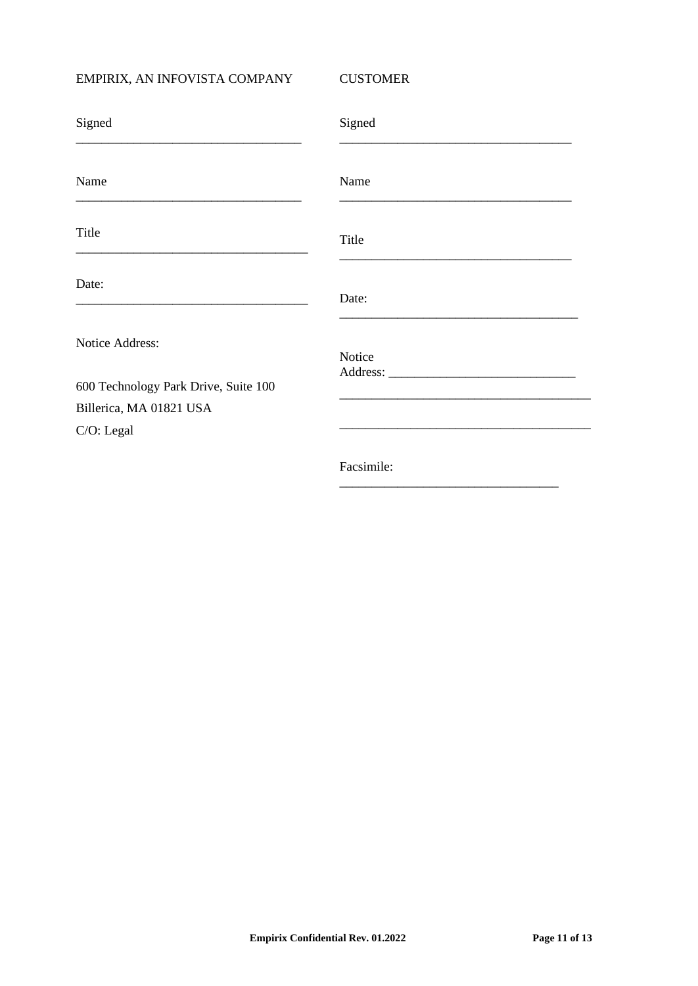# EMPIRIX, AN INFOVISTA COMPANY

CUSTOMER

| Signed                               | Signed     |
|--------------------------------------|------------|
| Name                                 | Name       |
| Title                                | Title      |
| Date:                                | Date:      |
| Notice Address:                      | Notice     |
| 600 Technology Park Drive, Suite 100 |            |
| Billerica, MA 01821 USA              |            |
| C/O: Legal                           |            |
|                                      | Facsimile: |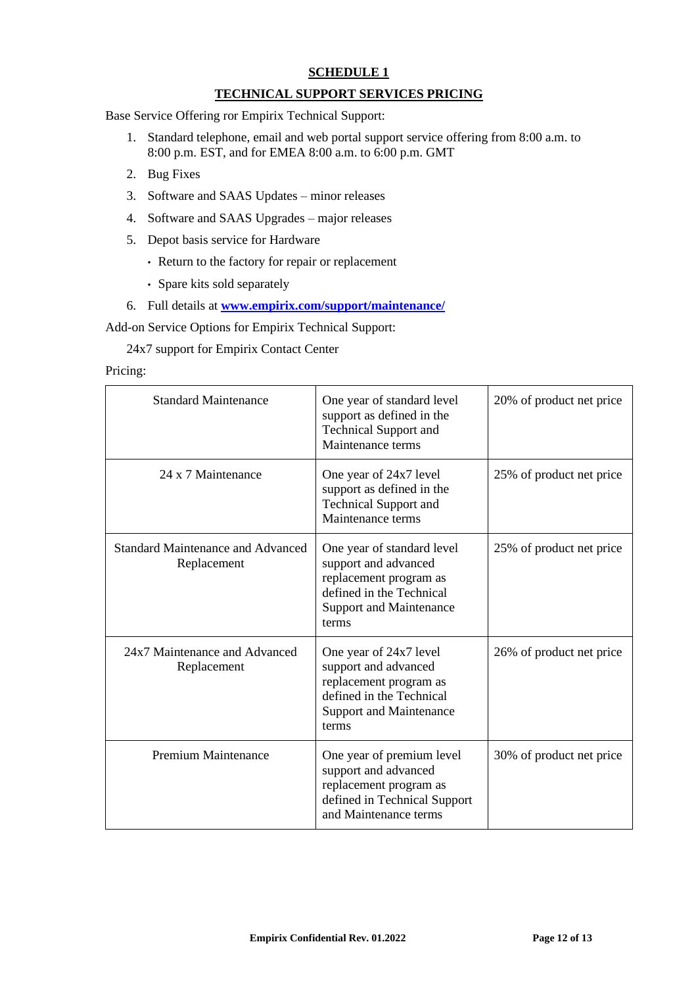## **SCHEDULE 1**

## **TECHNICAL SUPPORT SERVICES PRICING**

Base Service Offering ror Empirix Technical Support:

- 1. Standard telephone, email and web portal support service offering from 8:00 a.m. to 8:00 p.m. EST, and for EMEA 8:00 a.m. to 6:00 p.m. GMT
- 2. Bug Fixes
- 3. Software and SAAS Updates minor releases
- 4. Software and SAAS Upgrades major releases
- 5. Depot basis service for Hardware
	- Return to the factory for repair or replacement
	- Spare kits sold separately
- 6. Full details at **[www.empirix.com/support/maintenance/](http://www.empirix.com/support/maintenance/)**

Add-on Service Options for Empirix Technical Support:

24x7 support for Empirix Contact Center

Pricing:

| <b>Standard Maintenance</b>                      | One year of standard level<br>support as defined in the<br><b>Technical Support and</b><br>Maintenance terms                                        | 20% of product net price |
|--------------------------------------------------|-----------------------------------------------------------------------------------------------------------------------------------------------------|--------------------------|
| 24 x 7 Maintenance                               | One year of 24x7 level<br>support as defined in the<br><b>Technical Support and</b><br>Maintenance terms                                            | 25% of product net price |
| Standard Maintenance and Advanced<br>Replacement | One year of standard level<br>support and advanced<br>replacement program as<br>defined in the Technical<br><b>Support and Maintenance</b><br>terms | 25% of product net price |
| 24x7 Maintenance and Advanced<br>Replacement     | One year of 24x7 level<br>support and advanced<br>replacement program as<br>defined in the Technical<br><b>Support and Maintenance</b><br>terms     | 26% of product net price |
| <b>Premium Maintenance</b>                       | One year of premium level<br>support and advanced<br>replacement program as<br>defined in Technical Support<br>and Maintenance terms                | 30% of product net price |